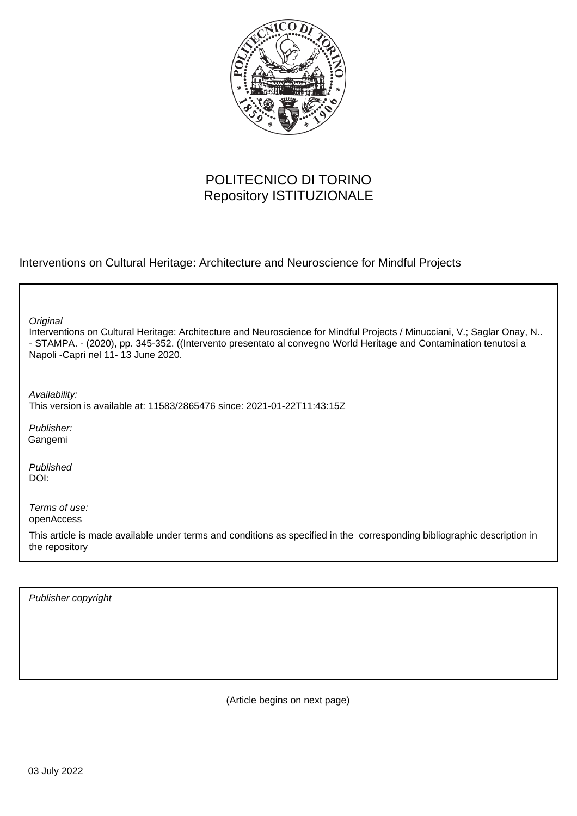

# POLITECNICO DI TORINO Repository ISTITUZIONALE

Interventions on Cultural Heritage: Architecture and Neuroscience for Mindful Projects

**Original** 

Interventions on Cultural Heritage: Architecture and Neuroscience for Mindful Projects / Minucciani, V.; Saglar Onay, N.. - STAMPA. - (2020), pp. 345-352. ((Intervento presentato al convegno World Heritage and Contamination tenutosi a Napoli -Capri nel 11- 13 June 2020.

Availability:

This version is available at: 11583/2865476 since: 2021-01-22T11:43:15Z

Publisher: Gangemi

Published DOI:

Terms of use: openAccess

This article is made available under terms and conditions as specified in the corresponding bibliographic description in the repository

Publisher copyright

(Article begins on next page)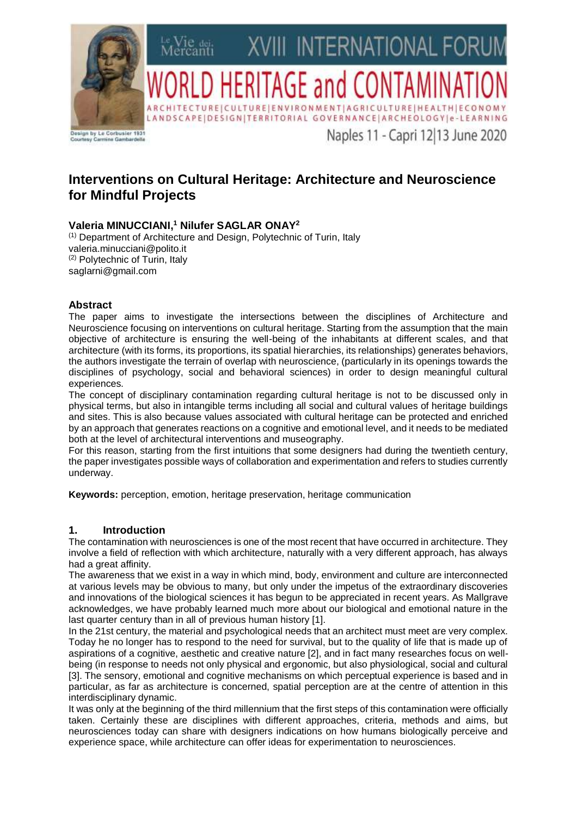

# **Interventions on Cultural Heritage: Architecture and Neuroscience for Mindful Projects**

## **Valeria MINUCCIANI, <sup>1</sup> Nilufer SAGLAR ONAY 2**

(1) Department of Architecture and Design, Polytechnic of Turin, Italy valeria.minucciani@polito.it (2) Polytechnic of Turin, Italy saglarni@gmail.com

## **Abstract**

The paper aims to investigate the intersections between the disciplines of Architecture and Neuroscience focusing on interventions on cultural heritage. Starting from the assumption that the main objective of architecture is ensuring the well-being of the inhabitants at different scales, and that architecture (with its forms, its proportions, its spatial hierarchies, its relationships) generates behaviors, the authors investigate the terrain of overlap with neuroscience, (particularly in its openings towards the disciplines of psychology, social and behavioral sciences) in order to design meaningful cultural experiences.

The concept of disciplinary contamination regarding cultural heritage is not to be discussed only in physical terms, but also in intangible terms including all social and cultural values of heritage buildings and sites. This is also because values associated with cultural heritage can be protected and enriched by an approach that generates reactions on a cognitive and emotional level, and it needs to be mediated both at the level of architectural interventions and museography.

For this reason, starting from the first intuitions that some designers had during the twentieth century, the paper investigates possible ways of collaboration and experimentation and refers to studies currently underway.

**Keywords:** perception, emotion, heritage preservation, heritage communication

## **1. Introduction**

The contamination with neurosciences is one of the most recent that have occurred in architecture. They involve a field of reflection with which architecture, naturally with a very different approach, has always had a great affinity.

The awareness that we exist in a way in which mind, body, environment and culture are interconnected at various levels may be obvious to many, but only under the impetus of the extraordinary discoveries and innovations of the biological sciences it has begun to be appreciated in recent years. As Mallgrave acknowledges, we have probably learned much more about our biological and emotional nature in the last quarter century than in all of previous human history [1].

In the 21st century, the material and psychological needs that an architect must meet are very complex. Today he no longer has to respond to the need for survival, but to the quality of life that is made up of aspirations of a cognitive, aesthetic and creative nature [2], and in fact many researches focus on wellbeing (in response to needs not only physical and ergonomic, but also physiological, social and cultural [3]. The sensory, emotional and cognitive mechanisms on which perceptual experience is based and in particular, as far as architecture is concerned, spatial perception are at the centre of attention in this interdisciplinary dynamic.

It was only at the beginning of the third millennium that the first steps of this contamination were officially taken. Certainly these are disciplines with different approaches, criteria, methods and aims, but neurosciences today can share with designers indications on how humans biologically perceive and experience space, while architecture can offer ideas for experimentation to neurosciences.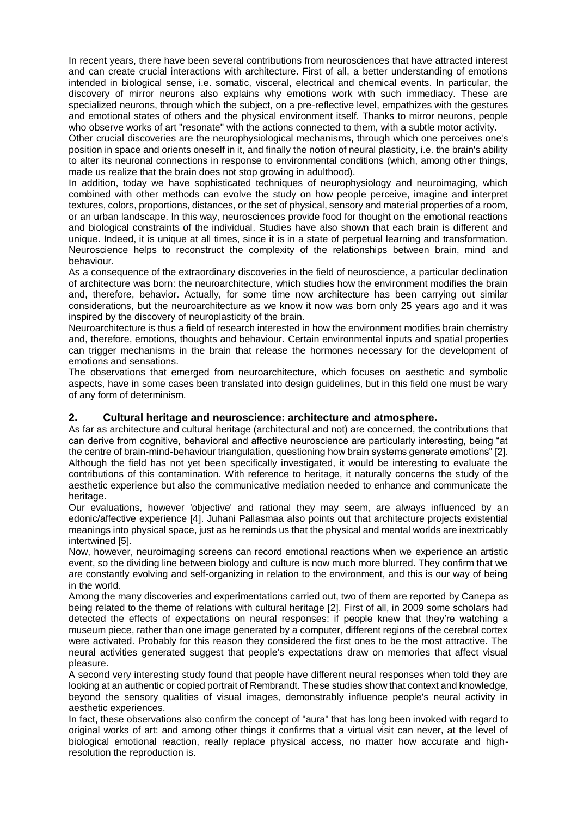In recent years, there have been several contributions from neurosciences that have attracted interest and can create crucial interactions with architecture. First of all, a better understanding of emotions intended in biological sense, i.e. somatic, visceral, electrical and chemical events. In particular, the discovery of mirror neurons also explains why emotions work with such immediacy. These are specialized neurons, through which the subject, on a pre-reflective level, empathizes with the gestures and emotional states of others and the physical environment itself. Thanks to mirror neurons, people who observe works of art "resonate" with the actions connected to them, with a subtle motor activity.

Other crucial discoveries are the neurophysiological mechanisms, through which one perceives one's position in space and orients oneself in it, and finally the notion of neural plasticity, i.e. the brain's ability to alter its neuronal connections in response to environmental conditions (which, among other things, made us realize that the brain does not stop growing in adulthood).

In addition, today we have sophisticated techniques of neurophysiology and neuroimaging, which combined with other methods can evolve the study on how people perceive, imagine and interpret textures, colors, proportions, distances, or the set of physical, sensory and material properties of a room, or an urban landscape. In this way, neurosciences provide food for thought on the emotional reactions and biological constraints of the individual. Studies have also shown that each brain is different and unique. Indeed, it is unique at all times, since it is in a state of perpetual learning and transformation. Neuroscience helps to reconstruct the complexity of the relationships between brain, mind and behaviour.

As a consequence of the extraordinary discoveries in the field of neuroscience, a particular declination of architecture was born: the neuroarchitecture, which studies how the environment modifies the brain and, therefore, behavior. Actually, for some time now architecture has been carrying out similar considerations, but the neuroarchitecture as we know it now was born only 25 years ago and it was inspired by the discovery of neuroplasticity of the brain.

Neuroarchitecture is thus a field of research interested in how the environment modifies brain chemistry and, therefore, emotions, thoughts and behaviour. Certain environmental inputs and spatial properties can trigger mechanisms in the brain that release the hormones necessary for the development of emotions and sensations.

The observations that emerged from neuroarchitecture, which focuses on aesthetic and symbolic aspects, have in some cases been translated into design guidelines, but in this field one must be wary of any form of determinism.

## **2. Cultural heritage and neuroscience: architecture and atmosphere.**

As far as architecture and cultural heritage (architectural and not) are concerned, the contributions that can derive from cognitive, behavioral and affective neuroscience are particularly interesting, being "at the centre of brain-mind-behaviour triangulation, questioning how brain systems generate emotions" [2]. Although the field has not yet been specifically investigated, it would be interesting to evaluate the contributions of this contamination. With reference to heritage, it naturally concerns the study of the aesthetic experience but also the communicative mediation needed to enhance and communicate the heritage.

Our evaluations, however 'objective' and rational they may seem, are always influenced by an edonic/affective experience [4]. Juhani Pallasmaa also points out that architecture projects existential meanings into physical space, just as he reminds us that the physical and mental worlds are inextricably intertwined [5].

Now, however, neuroimaging screens can record emotional reactions when we experience an artistic event, so the dividing line between biology and culture is now much more blurred. They confirm that we are constantly evolving and self-organizing in relation to the environment, and this is our way of being in the world.

Among the many discoveries and experimentations carried out, two of them are reported by Canepa as being related to the theme of relations with cultural heritage [2]. First of all, in 2009 some scholars had detected the effects of expectations on neural responses: if people knew that they're watching a museum piece, rather than one image generated by a computer, different regions of the cerebral cortex were activated. Probably for this reason they considered the first ones to be the most attractive. The neural activities generated suggest that people's expectations draw on memories that affect visual pleasure.

A second very interesting study found that people have different neural responses when told they are looking at an authentic or copied portrait of Rembrandt. These studies show that context and knowledge, beyond the sensory qualities of visual images, demonstrably influence people's neural activity in aesthetic experiences.

In fact, these observations also confirm the concept of "aura" that has long been invoked with regard to original works of art: and among other things it confirms that a virtual visit can never, at the level of biological emotional reaction, really replace physical access, no matter how accurate and highresolution the reproduction is.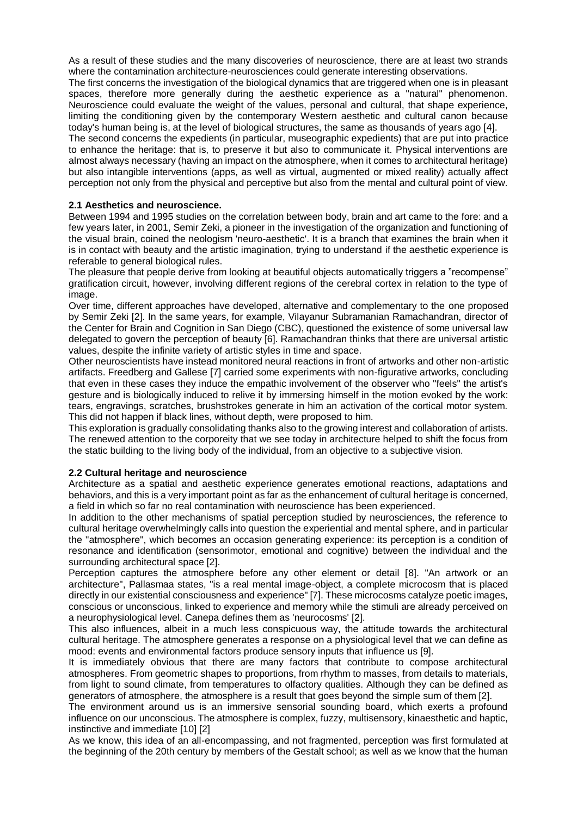As a result of these studies and the many discoveries of neuroscience, there are at least two strands where the contamination architecture-neurosciences could generate interesting observations.

The first concerns the investigation of the biological dynamics that are triggered when one is in pleasant spaces, therefore more generally during the aesthetic experience as a "natural" phenomenon. Neuroscience could evaluate the weight of the values, personal and cultural, that shape experience, limiting the conditioning given by the contemporary Western aesthetic and cultural canon because today's human being is, at the level of biological structures, the same as thousands of years ago [4].

The second concerns the expedients (in particular, museographic expedients) that are put into practice to enhance the heritage: that is, to preserve it but also to communicate it. Physical interventions are almost always necessary (having an impact on the atmosphere, when it comes to architectural heritage) but also intangible interventions (apps, as well as virtual, augmented or mixed reality) actually affect perception not only from the physical and perceptive but also from the mental and cultural point of view.

#### **2.1 Aesthetics and neuroscience.**

Between 1994 and 1995 studies on the correlation between body, brain and art came to the fore: and a few years later, in 2001, Semir Zeki, a pioneer in the investigation of the organization and functioning of the visual brain, coined the neologism 'neuro-aesthetic'. It is a branch that examines the brain when it is in contact with beauty and the artistic imagination, trying to understand if the aesthetic experience is referable to general biological rules.

The pleasure that people derive from looking at beautiful objects automatically triggers a "recompense" gratification circuit, however, involving different regions of the cerebral cortex in relation to the type of image

Over time, different approaches have developed, alternative and complementary to the one proposed by Semir Zeki [2]. In the same years, for example, Vilayanur Subramanian Ramachandran, director of the Center for Brain and Cognition in San Diego (CBC), questioned the existence of some universal law delegated to govern the perception of beauty [6]. Ramachandran thinks that there are universal artistic values, despite the infinite variety of artistic styles in time and space.

Other neuroscientists have instead monitored neural reactions in front of artworks and other non-artistic artifacts. Freedberg and Gallese [7] carried some experiments with non-figurative artworks, concluding that even in these cases they induce the empathic involvement of the observer who "feels" the artist's gesture and is biologically induced to relive it by immersing himself in the motion evoked by the work: tears, engravings, scratches, brushstrokes generate in him an activation of the cortical motor system. This did not happen if black lines, without depth, were proposed to him.

This exploration is gradually consolidating thanks also to the growing interest and collaboration of artists. The renewed attention to the corporeity that we see today in architecture helped to shift the focus from the static building to the living body of the individual, from an objective to a subjective vision.

#### **2.2 Cultural heritage and neuroscience**

Architecture as a spatial and aesthetic experience generates emotional reactions, adaptations and behaviors, and this is a very important point as far as the enhancement of cultural heritage is concerned, a field in which so far no real contamination with neuroscience has been experienced.

In addition to the other mechanisms of spatial perception studied by neurosciences, the reference to cultural heritage overwhelmingly calls into question the experiential and mental sphere, and in particular the "atmosphere", which becomes an occasion generating experience: its perception is a condition of resonance and identification (sensorimotor, emotional and cognitive) between the individual and the surrounding architectural space [2].

Perception captures the atmosphere before any other element or detail [8]. "An artwork or an architecture", Pallasmaa states, "is a real mental image-object, a complete microcosm that is placed directly in our existential consciousness and experience" [7]. These microcosms catalyze poetic images, conscious or unconscious, linked to experience and memory while the stimuli are already perceived on a neurophysiological level. Canepa defines them as 'neurocosms' [2].

This also influences, albeit in a much less conspicuous way, the attitude towards the architectural cultural heritage. The atmosphere generates a response on a physiological level that we can define as mood: events and environmental factors produce sensory inputs that influence us [9].

It is immediately obvious that there are many factors that contribute to compose architectural atmospheres. From geometric shapes to proportions, from rhythm to masses, from details to materials, from light to sound climate, from temperatures to olfactory qualities. Although they can be defined as generators of atmosphere, the atmosphere is a result that goes beyond the simple sum of them [2].

The environment around us is an immersive sensorial sounding board, which exerts a profound influence on our unconscious. The atmosphere is complex, fuzzy, multisensory, kinaesthetic and haptic, instinctive and immediate [10] [2]

As we know, this idea of an all-encompassing, and not fragmented, perception was first formulated at the beginning of the 20th century by members of the Gestalt school; as well as we know that the human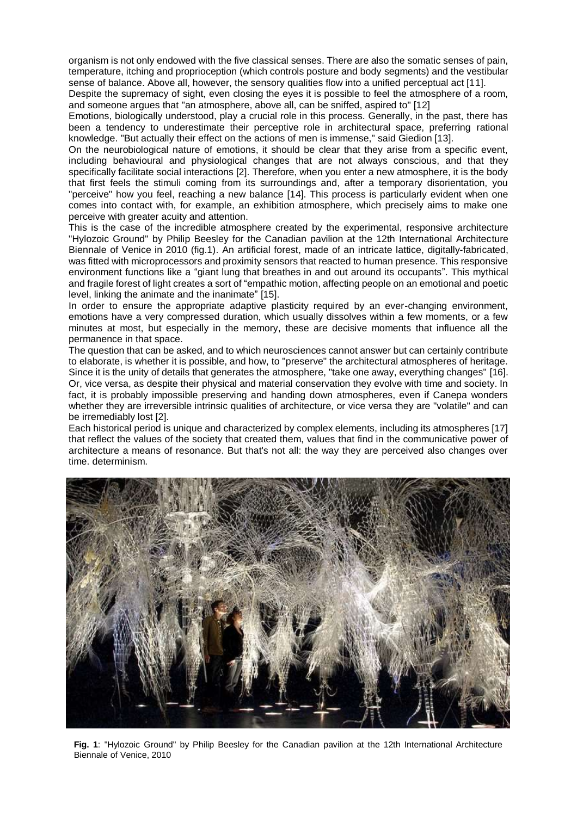organism is not only endowed with the five classical senses. There are also the somatic senses of pain, temperature, itching and proprioception (which controls posture and body segments) and the vestibular sense of balance. Above all, however, the sensory qualities flow into a unified perceptual act [11].

Despite the supremacy of sight, even closing the eyes it is possible to feel the atmosphere of a room, and someone argues that "an atmosphere, above all, can be sniffed, aspired to" [12]

Emotions, biologically understood, play a crucial role in this process. Generally, in the past, there has been a tendency to underestimate their perceptive role in architectural space, preferring rational knowledge. "But actually their effect on the actions of men is immense," said Giedion [13].

On the neurobiological nature of emotions, it should be clear that they arise from a specific event, including behavioural and physiological changes that are not always conscious, and that they specifically facilitate social interactions [2]. Therefore, when you enter a new atmosphere, it is the body that first feels the stimuli coming from its surroundings and, after a temporary disorientation, you "perceive" how you feel, reaching a new balance [14]. This process is particularly evident when one comes into contact with, for example, an exhibition atmosphere, which precisely aims to make one perceive with greater acuity and attention.

This is the case of the incredible atmosphere created by the experimental, responsive architecture "Hylozoic Ground" by Philip Beesley for the Canadian pavilion at the 12th International Architecture Biennale of Venice in 2010 (fig.1). An artificial forest, made of an intricate lattice, digitally-fabricated, was fitted with microprocessors and proximity sensors that reacted to human presence. This responsive environment functions like a "giant lung that breathes in and out around its occupants". This mythical and fragile forest of light creates a sort of "empathic motion, affecting people on an emotional and poetic level, linking the animate and the inanimate" [15].

In order to ensure the appropriate adaptive plasticity required by an ever-changing environment, emotions have a very compressed duration, which usually dissolves within a few moments, or a few minutes at most, but especially in the memory, these are decisive moments that influence all the permanence in that space.

The question that can be asked, and to which neurosciences cannot answer but can certainly contribute to elaborate, is whether it is possible, and how, to "preserve" the architectural atmospheres of heritage. Since it is the unity of details that generates the atmosphere, "take one away, everything changes" [16]. Or, vice versa, as despite their physical and material conservation they evolve with time and society. In fact, it is probably impossible preserving and handing down atmospheres, even if Canepa wonders whether they are irreversible intrinsic qualities of architecture, or vice versa they are "volatile" and can be irremediably lost [2].

Each historical period is unique and characterized by complex elements, including its atmospheres [17] that reflect the values of the society that created them, values that find in the communicative power of architecture a means of resonance. But that's not all: the way they are perceived also changes over time. determinism.



**Fig. 1**: "Hylozoic Ground" by Philip Beesley for the Canadian pavilion at the 12th International Architecture Biennale of Venice, 2010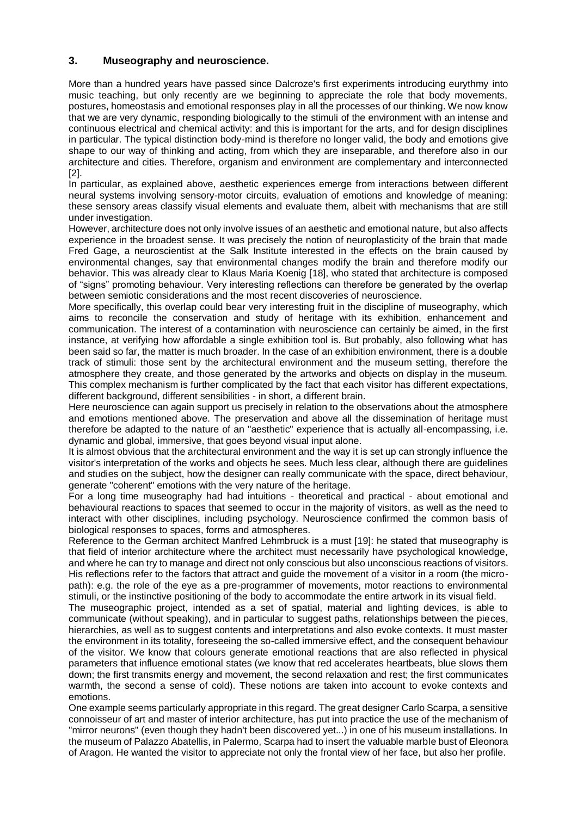#### **3. Museography and neuroscience.**

More than a hundred years have passed since Dalcroze's first experiments introducing eurythmy into music teaching, but only recently are we beginning to appreciate the role that body movements, postures, homeostasis and emotional responses play in all the processes of our thinking. We now know that we are very dynamic, responding biologically to the stimuli of the environment with an intense and continuous electrical and chemical activity: and this is important for the arts, and for design disciplines in particular. The typical distinction body-mind is therefore no longer valid, the body and emotions give shape to our way of thinking and acting, from which they are inseparable, and therefore also in our architecture and cities. Therefore, organism and environment are complementary and interconnected [2].

In particular, as explained above, aesthetic experiences emerge from interactions between different neural systems involving sensory-motor circuits, evaluation of emotions and knowledge of meaning: these sensory areas classify visual elements and evaluate them, albeit with mechanisms that are still under investigation.

However, architecture does not only involve issues of an aesthetic and emotional nature, but also affects experience in the broadest sense. It was precisely the notion of neuroplasticity of the brain that made Fred Gage, a neuroscientist at the Salk Institute interested in the effects on the brain caused by environmental changes, say that environmental changes modify the brain and therefore modify our behavior. This was already clear to Klaus Maria Koenig [18], who stated that architecture is composed of "signs" promoting behaviour. Very interesting reflections can therefore be generated by the overlap between semiotic considerations and the most recent discoveries of neuroscience.

More specifically, this overlap could bear very interesting fruit in the discipline of museography, which aims to reconcile the conservation and study of heritage with its exhibition, enhancement and communication. The interest of a contamination with neuroscience can certainly be aimed, in the first instance, at verifying how affordable a single exhibition tool is. But probably, also following what has been said so far, the matter is much broader. In the case of an exhibition environment, there is a double track of stimuli: those sent by the architectural environment and the museum setting, therefore the atmosphere they create, and those generated by the artworks and objects on display in the museum. This complex mechanism is further complicated by the fact that each visitor has different expectations, different background, different sensibilities - in short, a different brain.

Here neuroscience can again support us precisely in relation to the observations about the atmosphere and emotions mentioned above. The preservation and above all the dissemination of heritage must therefore be adapted to the nature of an "aesthetic" experience that is actually all-encompassing, i.e. dynamic and global, immersive, that goes beyond visual input alone.

It is almost obvious that the architectural environment and the way it is set up can strongly influence the visitor's interpretation of the works and objects he sees. Much less clear, although there are guidelines and studies on the subject, how the designer can really communicate with the space, direct behaviour, generate "coherent" emotions with the very nature of the heritage.

For a long time museography had had intuitions - theoretical and practical - about emotional and behavioural reactions to spaces that seemed to occur in the majority of visitors, as well as the need to interact with other disciplines, including psychology. Neuroscience confirmed the common basis of biological responses to spaces, forms and atmospheres.

Reference to the German architect Manfred Lehmbruck is a must [19]: he stated that museography is that field of interior architecture where the architect must necessarily have psychological knowledge, and where he can try to manage and direct not only conscious but also unconscious reactions of visitors. His reflections refer to the factors that attract and guide the movement of a visitor in a room (the micropath): e.g. the role of the eye as a pre-programmer of movements, motor reactions to environmental stimuli, or the instinctive positioning of the body to accommodate the entire artwork in its visual field.

The museographic project, intended as a set of spatial, material and lighting devices, is able to communicate (without speaking), and in particular to suggest paths, relationships between the pieces, hierarchies, as well as to suggest contents and interpretations and also evoke contexts. It must master the environment in its totality, foreseeing the so-called immersive effect, and the consequent behaviour of the visitor. We know that colours generate emotional reactions that are also reflected in physical parameters that influence emotional states (we know that red accelerates heartbeats, blue slows them down; the first transmits energy and movement, the second relaxation and rest; the first communicates warmth, the second a sense of cold). These notions are taken into account to evoke contexts and emotions.

One example seems particularly appropriate in this regard. The great designer Carlo Scarpa, a sensitive connoisseur of art and master of interior architecture, has put into practice the use of the mechanism of "mirror neurons" (even though they hadn't been discovered yet...) in one of his museum installations. In the museum of Palazzo Abatellis, in Palermo, Scarpa had to insert the valuable marble bust of Eleonora of Aragon. He wanted the visitor to appreciate not only the frontal view of her face, but also her profile.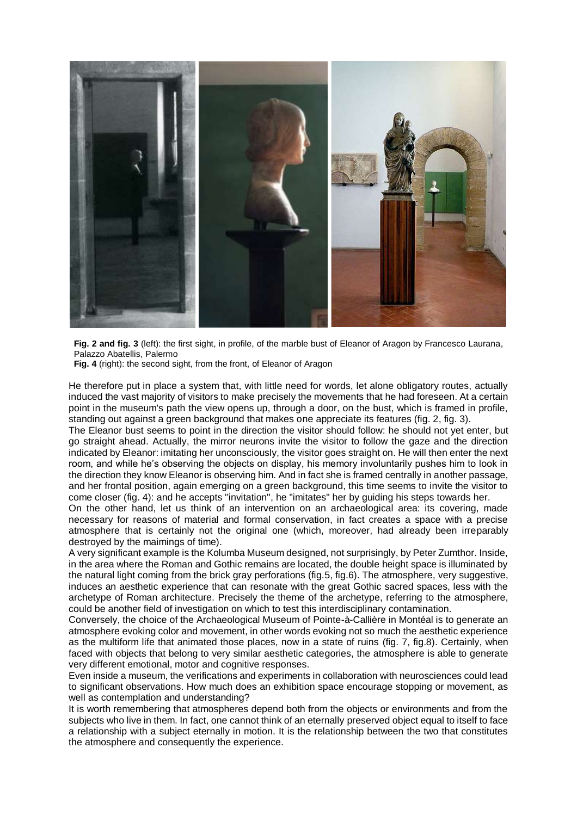

**Fig. 2 and fig. 3** (left): the first sight, in profile, of the marble bust of Eleanor of Aragon by Francesco Laurana, Palazzo Abatellis, Palermo

**Fig. 4** (right): the second sight, from the front, of Eleanor of Aragon

He therefore put in place a system that, with little need for words, let alone obligatory routes, actually induced the vast majority of visitors to make precisely the movements that he had foreseen. At a certain point in the museum's path the view opens up, through a door, on the bust, which is framed in profile, standing out against a green background that makes one appreciate its features (fig. 2, fig. 3).

The Eleanor bust seems to point in the direction the visitor should follow: he should not yet enter, but go straight ahead. Actually, the mirror neurons invite the visitor to follow the gaze and the direction indicated by Eleanor: imitating her unconsciously, the visitor goes straight on. He will then enter the next room, and while he's observing the objects on display, his memory involuntarily pushes him to look in the direction they know Eleanor is observing him. And in fact she is framed centrally in another passage, and her frontal position, again emerging on a green background, this time seems to invite the visitor to come closer (fig. 4): and he accepts ''invitation'', he "imitates" her by guiding his steps towards her.

On the other hand, let us think of an intervention on an archaeological area: its covering, made necessary for reasons of material and formal conservation, in fact creates a space with a precise atmosphere that is certainly not the original one (which, moreover, had already been irreparably destroyed by the maimings of time).

A very significant example is the Kolumba Museum designed, not surprisingly, by Peter Zumthor. Inside, in the area where the Roman and Gothic remains are located, the double height space is illuminated by the natural light coming from the brick gray perforations (fig.5, fig.6). The atmosphere, very suggestive, induces an aesthetic experience that can resonate with the great Gothic sacred spaces, less with the archetype of Roman architecture. Precisely the theme of the archetype, referring to the atmosphere, could be another field of investigation on which to test this interdisciplinary contamination.

Conversely, the choice of the Archaeological Museum of Pointe-à-Callière in Montéal is to generate an atmosphere evoking color and movement, in other words evoking not so much the aesthetic experience as the multiform life that animated those places, now in a state of ruins (fig. 7, fig.8). Certainly, when faced with objects that belong to very similar aesthetic categories, the atmosphere is able to generate very different emotional, motor and cognitive responses.

Even inside a museum, the verifications and experiments in collaboration with neurosciences could lead to significant observations. How much does an exhibition space encourage stopping or movement, as well as contemplation and understanding?

It is worth remembering that atmospheres depend both from the objects or environments and from the subjects who live in them. In fact, one cannot think of an eternally preserved object equal to itself to face a relationship with a subject eternally in motion. It is the relationship between the two that constitutes the atmosphere and consequently the experience.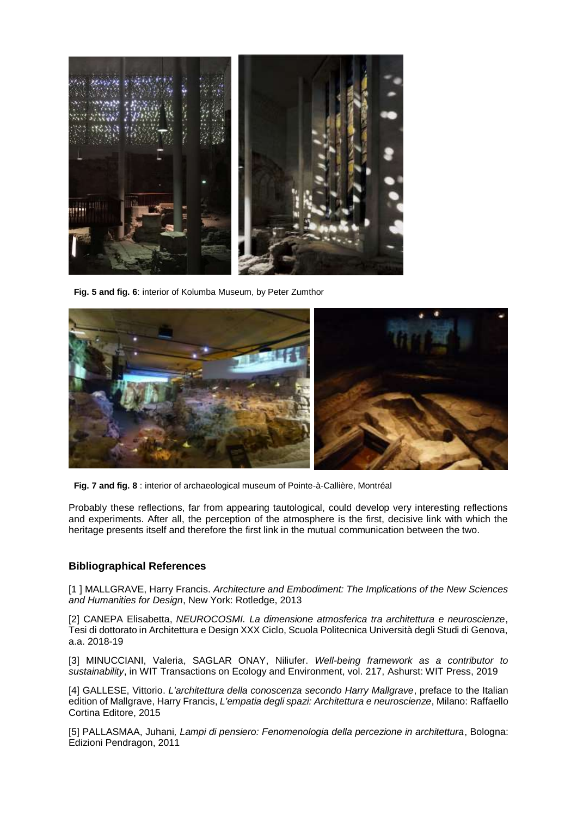

**Fig. 5 and fig. 6**: interior of Kolumba Museum, by Peter Zumthor



**Fig. 7 and fig. 8** : interior of archaeological museum of Pointe-à-Callière, Montréal

Probably these reflections, far from appearing tautological, could develop very interesting reflections and experiments. After all, the perception of the atmosphere is the first, decisive link with which the heritage presents itself and therefore the first link in the mutual communication between the two.

#### **Bibliographical References**

[1 ] MALLGRAVE, Harry Francis. *Architecture and Embodiment: The Implications of the New Sciences and Humanities for Design*, New York: Rotledge, 2013

[2] CANEPA Elisabetta, *NEUROCOSMI. La dimensione atmosferica tra architettura e neuroscienze*, Tesi di dottorato in Architettura e Design XXX Ciclo, Scuola Politecnica Università degli Studi di Genova, a.a. 2018-19

[3] MINUCCIANI, Valeria, SAGLAR ONAY, Niliufer. *Well-being framework as a contributor to sustainability*, in WIT Transactions on Ecology and Environment, vol. 217, Ashurst: WIT Press, 2019

[4] GALLESE, Vittorio. *L'architettura della conoscenza secondo Harry Mallgrave*, preface to the Italian edition of Mallgrave, Harry Francis, *L'empatia degli spazi: Architettura e neuroscienze*, Milano: Raffaello Cortina Editore, 2015

[5] PALLASMAA, Juhani*, Lampi di pensiero: Fenomenologia della percezione in architettura*, Bologna: Edizioni Pendragon, 2011